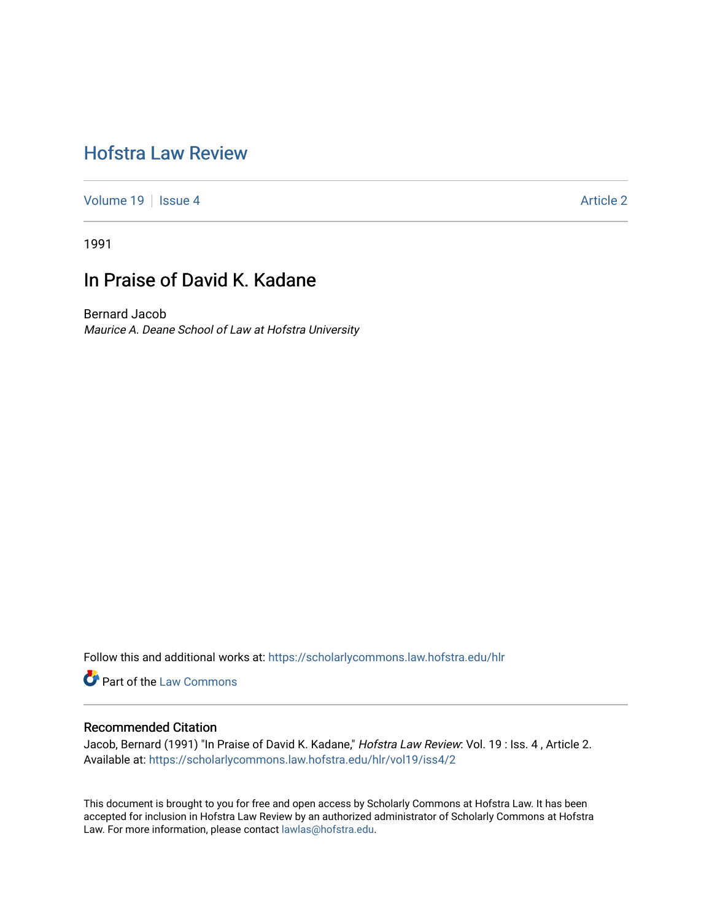# [Hofstra Law Review](https://scholarlycommons.law.hofstra.edu/hlr)

[Volume 19](https://scholarlycommons.law.hofstra.edu/hlr/vol19) | [Issue 4](https://scholarlycommons.law.hofstra.edu/hlr/vol19/iss4) Article 2

1991

# In Praise of David K. Kadane

Bernard Jacob Maurice A. Deane School of Law at Hofstra University

Follow this and additional works at: [https://scholarlycommons.law.hofstra.edu/hlr](https://scholarlycommons.law.hofstra.edu/hlr?utm_source=scholarlycommons.law.hofstra.edu%2Fhlr%2Fvol19%2Fiss4%2F2&utm_medium=PDF&utm_campaign=PDFCoverPages)

Part of the [Law Commons](http://network.bepress.com/hgg/discipline/578?utm_source=scholarlycommons.law.hofstra.edu%2Fhlr%2Fvol19%2Fiss4%2F2&utm_medium=PDF&utm_campaign=PDFCoverPages)

### Recommended Citation

Jacob, Bernard (1991) "In Praise of David K. Kadane," Hofstra Law Review: Vol. 19 : Iss. 4, Article 2. Available at: [https://scholarlycommons.law.hofstra.edu/hlr/vol19/iss4/2](https://scholarlycommons.law.hofstra.edu/hlr/vol19/iss4/2?utm_source=scholarlycommons.law.hofstra.edu%2Fhlr%2Fvol19%2Fiss4%2F2&utm_medium=PDF&utm_campaign=PDFCoverPages)

This document is brought to you for free and open access by Scholarly Commons at Hofstra Law. It has been accepted for inclusion in Hofstra Law Review by an authorized administrator of Scholarly Commons at Hofstra Law. For more information, please contact [lawlas@hofstra.edu.](mailto:lawlas@hofstra.edu)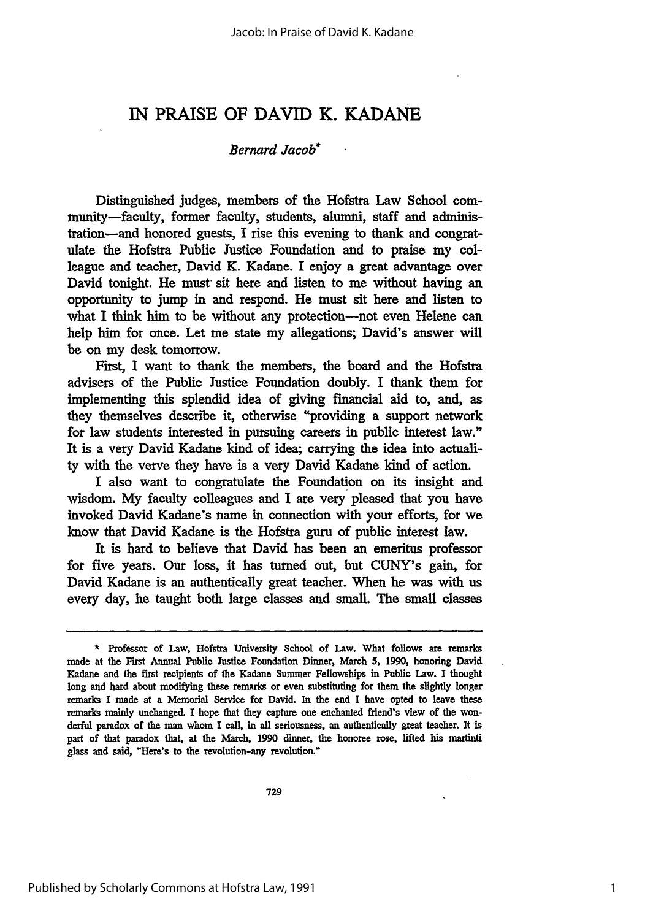## IN PRAISE OF DAVID K. **KADANE**

### *Bernard Jacob\**

Distinguished judges, members of the Hofstra Law School community-faculty, former faculty, students, alumni, staff and administration-and honored guests, I rise this evening to thank and congratulate the Hofstra Public Justice Foundation and to praise my **col**league and teacher, David K. Kadane. I enjoy a great advantage over David tonight. He must sit here and listen to me without having an opportunity to jump in and respond. He must sit here and listen to what I think him to be without any protection--not even Helene can help him for once. Let me state my allegations; David's answer **will** be on my desk tomorrow.

First, I want to thank the members, the board and the Hofstra advisers of the Public Justice Foundation doubly. I thank them for implementing this splendid idea of giving financial aid to, and, as they themselves describe **it,** otherwise "providing a support network for law students interested in pursuing careers in public interest law." It is a very David Kadane kind of idea; carrying the idea into actuality with the verve they have is a very David Kadane kind of action.

I also want to congratulate the Foundation on its insight and wisdom. My faculty colleagues and I are very pleased that you have invoked David Kadane's name in connection with your efforts, for we know that David Kadane is the Hofstra guru of public interest law.

It is hard to believe that David has been an emeritus professor for five years. Our loss, it has turned out, but CUNY's gain, for David Kadane is an authentically great teacher. When he was with us every day, he taught both large classes and small. The small classes

1

<sup>\*</sup> Professor of Law, Hofstra University School of Law. What follows are remarks made at the First Annual Public Justice Foundation Dinner, March **5, 1990,** honoring David Kadane and the first recipients of the Kadane Summer Fellowships in Public Law. I thought long and hard about modifying these remarks or even substituting for them the slightly longer remarks I made at a Memorial Service for David. In the end I have opted to leave these remarks mainly unchanged. I hope that they capture one enchanted friend's view of the wonderful paradox of the man whom **I** call, in all seriousness, an authentically great teacher. It is part of that paradox that, at the March, **1990** dinner, the honoree rose, lifted his martinti glass and said, "Here's to the revolution-any revolution."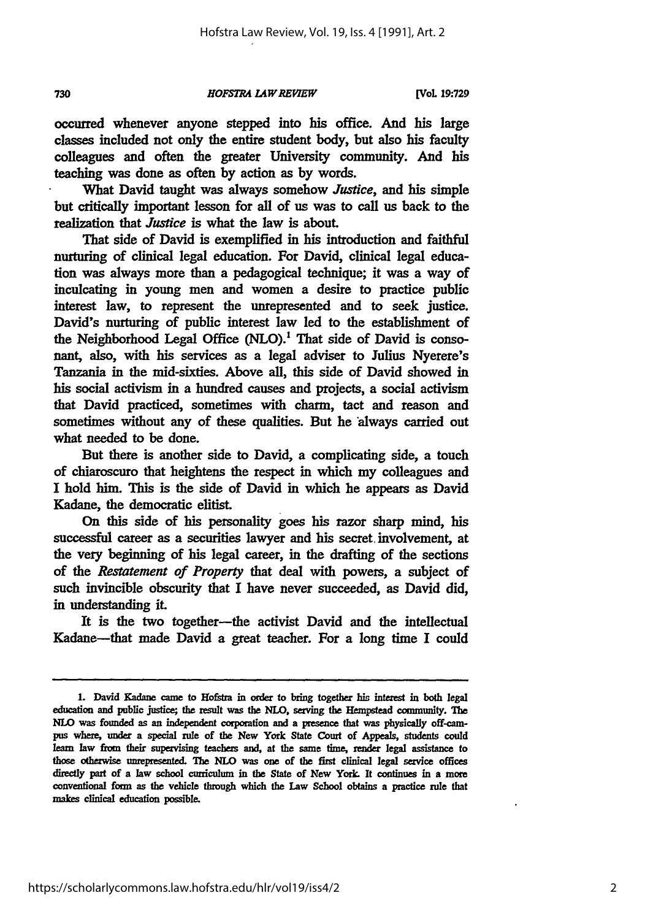*HOFSTRA LAWREVIEW*

**[Vol 19:729**

occurred whenever anyone stepped into his office. And his large classes included not only the entire student body, but also his faculty colleagues and often the greater University community. And his teaching was done as often **by** action as **by** words.

What David taught was always somehow *Justice,* and his simple but critically important lesson for all of us was to call us back to the realization that *Justice is* what the law is about.

That side of David is exemplified in his introduction and faithful nurturing of clinical legal education. For David, clinical legal education was always more than a pedagogical technique; it was a way of inculcating in young men and women a desire to practice public interest law, to represent the unrepresented and to seek justice. David's nurturing of public interest law led to the establishment of the Neighborhood Legal Office **(NLO).'** That side of David is consonant, also, with his services as a legal adviser to Julius Nyerere's Tanzania in the mid-sixties. Above all, this side of David showed in his social activism in a hundred causes and projects, a social activism that David practiced, sometimes with charm, tact and reason and sometimes without any of these qualities. But he always carried out what needed to be done.

But there is another side to David, a complicating side, a touch of chiaroscuro that heightens the respect in which my colleagues and I hold him. This is the side of David in which he appears as David Kadane, the democratic elitist

On this side of his personality goes his razor sharp mind, his successful career as a securities lawyer and his secret, involvement, at the very beginning of his legal career, in the drafting of the sections of the *Restatement of Properly* that deal with powers, a subject of such invincible obscurity that I have never succeeded, as David did, in understanding it.

It is the two together-the activist David and the intellectual Kadane-that made David a great teacher. For a long time I could

730

**<sup>1.</sup>** David Kadane came to **Hofstra** in order to bring together his interest in both legal education and public justice; the result was the **NLO,** serving the Hempstead community. The **NLO** was founded as an independent corporation and a presence that was physically off-campus where, **under** a special rule of the New York State Court of Appeals, students could learn law from their supervising teachers and, at the same **time,** render legal assistance to those otherwise unrepresented. The **NLO** was one of the first clinical legal service offices directly part of a law school curriculum in the State of New York. It continues in a more conventional **form** as the vehicle through which the Law School obtains a practice rule that **makes** clinical education possible.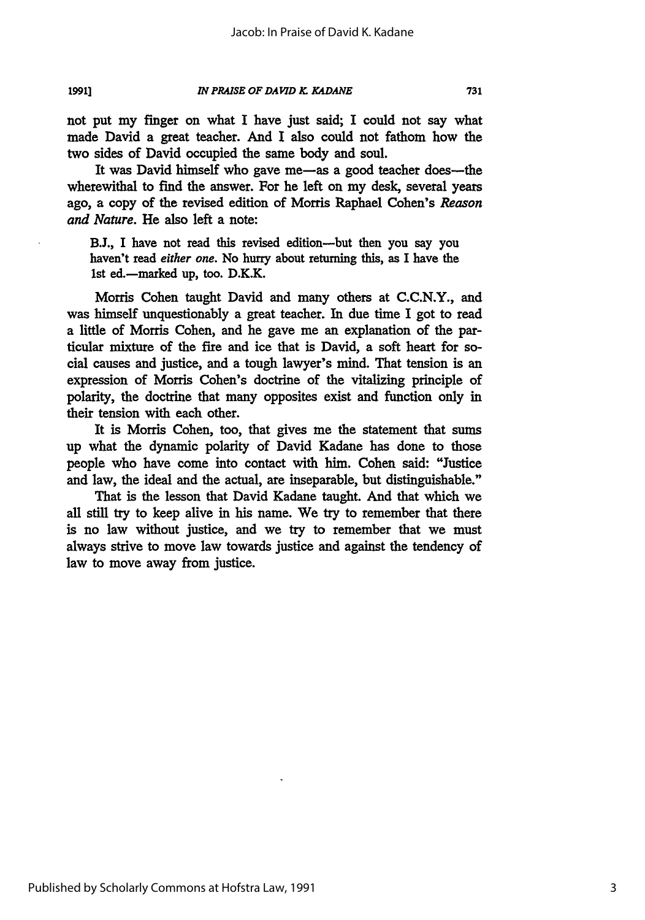#### *IN PRAISE OF DAVID X. KADANE*

**1991]**

not put my finger on what **I** have just said; I could not say what made David a great teacher. And **I** also could not fathom how the two sides of David occupied the same body and soul.

It was David himself who gave me-as a good teacher does--the wherewithal to find the answer. For he left on my desk, several years ago, a copy of the revised edition of Morris Raphael Cohen's *Reason and Nature.* He also left a note:

B.J., I have not read this revised edition--but then you say you haven't read *either one.* No hurry about returning this, as I have the 1st ed.-marked up, too. D.K.K.

Morris Cohen taught David and many others at C.C.N.Y., and was himself unquestionably a great teacher. In due time I got to read a little of Morris Cohen, and he gave me an explanation of the particular mixture of the fire and ice that is David, a soft heart for social causes and justice, and a tough lawyer's mind. That tension is an expression of Morris Cohen's doctrine of the vitalizing principle of polarity, the doctrine that many opposites exist and function only in their tension with each other.

It is Morris Cohen, too, that gives me the statement that sums up what the dynamic polarity of David Kadane has done to those people who have come into contact with him. Cohen said: "Justice and law, the ideal and the actual, are inseparable, but distinguishable."

That is the lesson that David Kadane taught. And that which we all still try to keep alive in his name. We try to remember that there is no law without justice, and we try to remember that we must always strive to move law towards justice and against the tendency of law to move away from justice.

731